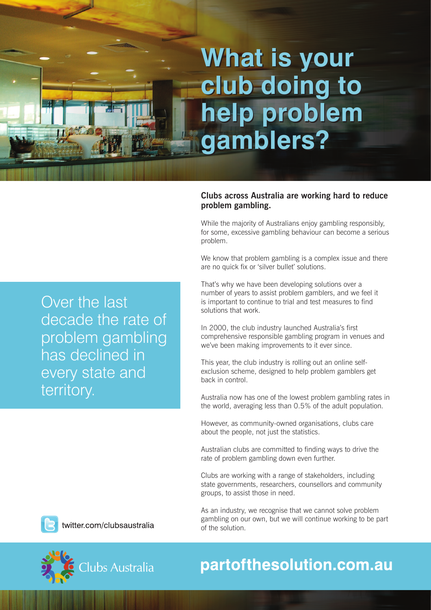# **What is your What is your club doing to club doing to help problem help problem gamblers? gamblers?**

## **Clubs across Australia are working hard to reduce problem gambling.**

While the majority of Australians enjoy gambling responsibly, for some, excessive gambling behaviour can become a serious problem.

We know that problem gambling is a complex issue and there are no quick fix or 'silver bullet' solutions.

That's why we have been developing solutions over a number of years to assist problem gamblers, and we feel it is important to continue to trial and test measures to find solutions that work.

In 2000, the club industry launched Australia's first comprehensive responsible gambling program in venues and we've been making improvements to it ever since.

This year, the club industry is rolling out an online selfexclusion scheme, designed to help problem gamblers get back in control.

Australia now has one of the lowest problem gambling rates in the world, averaging less than 0.5% of the adult population.

However, as community-owned organisations, clubs care about the people, not just the statistics.

Australian clubs are committed to finding ways to drive the rate of problem gambling down even further.

Clubs are working with a range of stakeholders, including state governments, researchers, counsellors and community groups, to assist those in need.

As an industry, we recognise that we cannot solve problem gambling on our own, but we will continue working to be part of the solution.

Over the last decade the rate of problem gambling has declined in every state and territory.



twitter.com/clubsaustralia



# partofthesolution.com.au